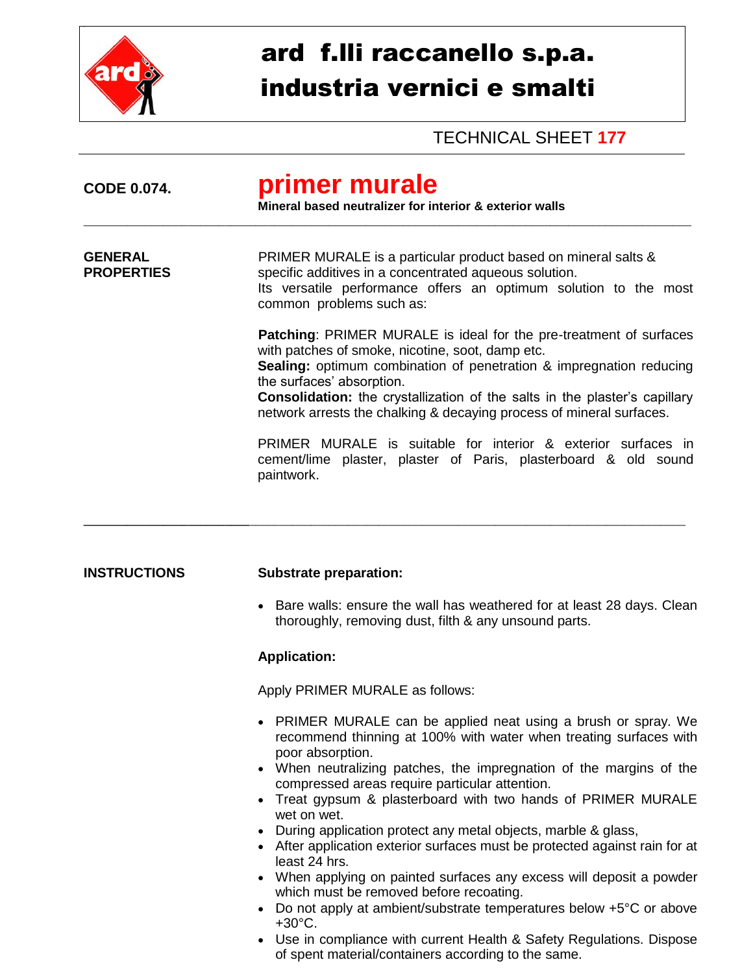

## ard f.lli raccanello s.p.a. industria vernici e smalti

TECHNICAL SHEET **177**

| <b>CODE 0.074.</b>                  | primer murale<br>Mineral based neutralizer for interior & exterior walls                                                                                                                                                                                                                                                                                                                       |
|-------------------------------------|------------------------------------------------------------------------------------------------------------------------------------------------------------------------------------------------------------------------------------------------------------------------------------------------------------------------------------------------------------------------------------------------|
| <b>GENERAL</b><br><b>PROPERTIES</b> | PRIMER MURALE is a particular product based on mineral salts &<br>specific additives in a concentrated aqueous solution.<br>Its versatile performance offers an optimum solution to the most<br>common problems such as:                                                                                                                                                                       |
|                                     | <b>Patching: PRIMER MURALE is ideal for the pre-treatment of surfaces</b><br>with patches of smoke, nicotine, soot, damp etc.<br><b>Sealing:</b> optimum combination of penetration & impregnation reducing<br>the surfaces' absorption.<br>Consolidation: the crystallization of the salts in the plaster's capillary<br>network arrests the chalking & decaying process of mineral surfaces. |
|                                     | PRIMER MURALE is suitable for interior & exterior surfaces in<br>cement/lime plaster, plaster of Paris, plasterboard & old sound<br>paintwork.                                                                                                                                                                                                                                                 |
|                                     |                                                                                                                                                                                                                                                                                                                                                                                                |
| <b>INSTRUCTIONS</b>                 | <b>Substrate preparation:</b>                                                                                                                                                                                                                                                                                                                                                                  |
|                                     | Bare walls: ensure the wall has weathered for at least 28 days. Clean<br>thoroughly, removing dust, filth & any unsound parts.                                                                                                                                                                                                                                                                 |
|                                     | <b>Application:</b>                                                                                                                                                                                                                                                                                                                                                                            |
|                                     | Apply PRIMER MURALE as follows:                                                                                                                                                                                                                                                                                                                                                                |
|                                     | PRIMER MURALE can be applied neat using a brush or spray. We<br>recommend thinning at 100% with water when treating surfaces with<br>poor absorption.                                                                                                                                                                                                                                          |
|                                     | When neutralizing patches, the impregnation of the margins of the<br>compressed areas require particular attention.<br>Treat gypsum & plasterboard with two hands of PRIMER MURALE                                                                                                                                                                                                             |
|                                     | wet on wet.<br>During application protect any metal objects, marble & glass,<br>• After application exterior surfaces must be protected against rain for at<br>least 24 hrs.                                                                                                                                                                                                                   |
|                                     | • When applying on painted surfaces any excess will deposit a powder<br>which must be removed before recoating.                                                                                                                                                                                                                                                                                |
|                                     | Do not apply at ambient/substrate temperatures below +5°C or above<br>$+30^{\circ}$ C.                                                                                                                                                                                                                                                                                                         |

 Use in compliance with current Health & Safety Regulations. Dispose of spent material/containers according to the same.